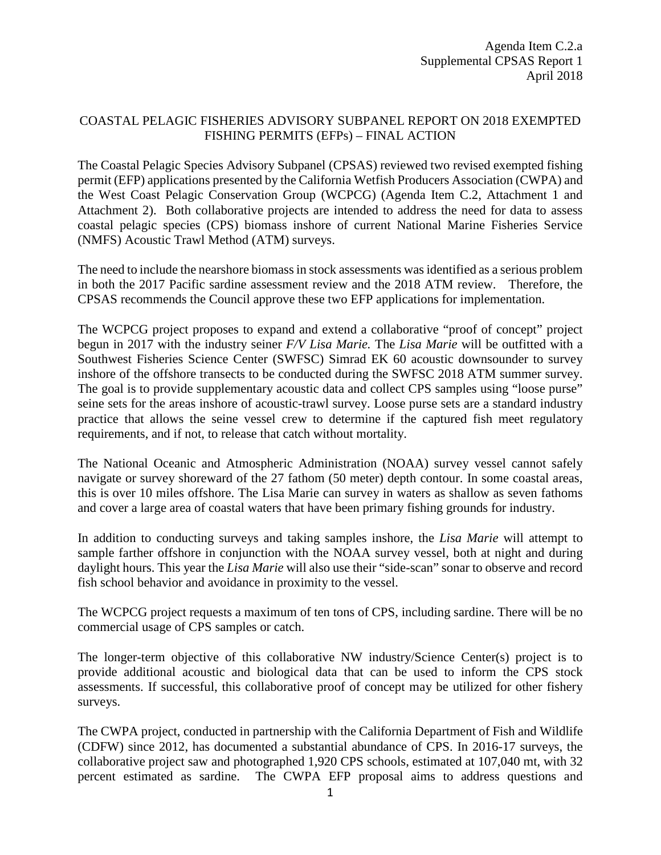## COASTAL PELAGIC FISHERIES ADVISORY SUBPANEL REPORT ON 2018 EXEMPTED FISHING PERMITS (EFPs) – FINAL ACTION

The Coastal Pelagic Species Advisory Subpanel (CPSAS) reviewed two revised exempted fishing permit (EFP) applications presented by the California Wetfish Producers Association (CWPA) and the West Coast Pelagic Conservation Group (WCPCG) (Agenda Item C.2, Attachment 1 and Attachment 2). Both collaborative projects are intended to address the need for data to assess coastal pelagic species (CPS) biomass inshore of current National Marine Fisheries Service (NMFS) Acoustic Trawl Method (ATM) surveys.

The need to include the nearshore biomass in stock assessments was identified as a serious problem in both the 2017 Pacific sardine assessment review and the 2018 ATM review. Therefore, the CPSAS recommends the Council approve these two EFP applications for implementation.

The WCPCG project proposes to expand and extend a collaborative "proof of concept" project begun in 2017 with the industry seiner *F/V Lisa Marie.* The *Lisa Marie* will be outfitted with a Southwest Fisheries Science Center (SWFSC) Simrad EK 60 acoustic downsounder to survey inshore of the offshore transects to be conducted during the SWFSC 2018 ATM summer survey. The goal is to provide supplementary acoustic data and collect CPS samples using "loose purse" seine sets for the areas inshore of acoustic-trawl survey. Loose purse sets are a standard industry practice that allows the seine vessel crew to determine if the captured fish meet regulatory requirements, and if not, to release that catch without mortality.

The National Oceanic and Atmospheric Administration (NOAA) survey vessel cannot safely navigate or survey shoreward of the 27 fathom (50 meter) depth contour. In some coastal areas, this is over 10 miles offshore. The Lisa Marie can survey in waters as shallow as seven fathoms and cover a large area of coastal waters that have been primary fishing grounds for industry.

In addition to conducting surveys and taking samples inshore, the *Lisa Marie* will attempt to sample farther offshore in conjunction with the NOAA survey vessel, both at night and during daylight hours. This year the *Lisa Marie* will also use their "side-scan" sonar to observe and record fish school behavior and avoidance in proximity to the vessel.

The WCPCG project requests a maximum of ten tons of CPS, including sardine. There will be no commercial usage of CPS samples or catch.

The longer-term objective of this collaborative NW industry/Science Center(s) project is to provide additional acoustic and biological data that can be used to inform the CPS stock assessments. If successful, this collaborative proof of concept may be utilized for other fishery surveys.

The CWPA project, conducted in partnership with the California Department of Fish and Wildlife (CDFW) since 2012, has documented a substantial abundance of CPS. In 2016-17 surveys, the collaborative project saw and photographed 1,920 CPS schools, estimated at 107,040 mt, with 32 percent estimated as sardine. The CWPA EFP proposal aims to address questions and